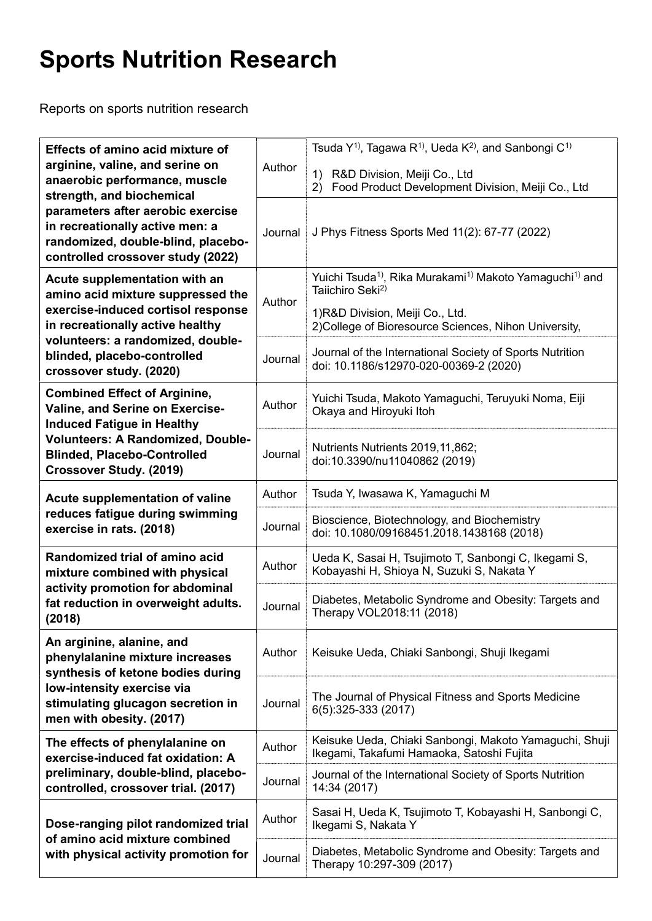## Sports Nutrition Research

Reports on sports nutrition research

| Effects of amino acid mixture of<br>arginine, valine, and serine on<br>anaerobic performance, muscle<br>strength, and biochemical<br>parameters after aerobic exercise<br>in recreationally active men: a<br>randomized, double-blind, placebo-<br>controlled crossover study (2022) | Author  | Tsuda $Y^{1}$ , Tagawa R <sup>1</sup> , Ueda K <sup>2</sup> , and Sanbongi C <sup>1)</sup><br>$\left( \begin{matrix} 1 \end{matrix} \right)$<br>R&D Division, Meiji Co., Ltd<br>Food Product Development Division, Meiji Co., Ltd<br>2) |
|--------------------------------------------------------------------------------------------------------------------------------------------------------------------------------------------------------------------------------------------------------------------------------------|---------|-----------------------------------------------------------------------------------------------------------------------------------------------------------------------------------------------------------------------------------------|
|                                                                                                                                                                                                                                                                                      | Journal | J Phys Fitness Sports Med 11(2): 67-77 (2022)                                                                                                                                                                                           |
| Acute supplementation with an<br>amino acid mixture suppressed the<br>exercise-induced cortisol response<br>in recreationally active healthy<br>volunteers: a randomized, double-<br>blinded, placebo-controlled<br>crossover study. (2020)                                          | Author  | Yuichi Tsuda <sup>1</sup> , Rika Murakami <sup>1</sup> ) Makoto Yamaguchi <sup>1)</sup> and<br>Taiichiro Seki <sup>2)</sup>                                                                                                             |
|                                                                                                                                                                                                                                                                                      |         | 1)R&D Division, Meiji Co., Ltd.<br>2) College of Bioresource Sciences, Nihon University,                                                                                                                                                |
|                                                                                                                                                                                                                                                                                      | Journal | Journal of the International Society of Sports Nutrition<br>doi: 10.1186/s12970-020-00369-2 (2020)                                                                                                                                      |
| <b>Combined Effect of Arginine,</b><br>Valine, and Serine on Exercise-<br><b>Induced Fatigue in Healthy</b><br>Volunteers: A Randomized, Double-<br><b>Blinded, Placebo-Controlled</b><br><b>Crossover Study. (2019)</b>                                                             | Author  | Yuichi Tsuda, Makoto Yamaguchi, Teruyuki Noma, Eiji<br>Okaya and Hiroyuki Itoh                                                                                                                                                          |
|                                                                                                                                                                                                                                                                                      | Journal | Nutrients Nutrients 2019, 11, 862;<br>doi:10.3390/nu11040862 (2019)                                                                                                                                                                     |
| Acute supplementation of valine<br>reduces fatigue during swimming<br>exercise in rats. (2018)                                                                                                                                                                                       | Author  | Tsuda Y, Iwasawa K, Yamaguchi M                                                                                                                                                                                                         |
|                                                                                                                                                                                                                                                                                      | Journal | Bioscience, Biotechnology, and Biochemistry<br>doi: 10.1080/09168451.2018.1438168 (2018)                                                                                                                                                |
| Randomized trial of amino acid<br>mixture combined with physical<br>activity promotion for abdominal<br>fat reduction in overweight adults.<br>(2018)                                                                                                                                | Author  | Ueda K, Sasai H, Tsujimoto T, Sanbongi C, Ikegami S,<br>Kobayashi H, Shioya N, Suzuki S, Nakata Y                                                                                                                                       |
|                                                                                                                                                                                                                                                                                      | Journal | Diabetes, Metabolic Syndrome and Obesity: Targets and<br>Therapy VOL2018:11 (2018)                                                                                                                                                      |
| An arginine, alanine, and<br>phenylalanine mixture increases<br>synthesis of ketone bodies during<br>low-intensity exercise via<br>stimulating glucagon secretion in<br>men with obesity. (2017)                                                                                     | Author  | Keisuke Ueda, Chiaki Sanbongi, Shuji Ikegami                                                                                                                                                                                            |
|                                                                                                                                                                                                                                                                                      | Journal | The Journal of Physical Fitness and Sports Medicine<br>6(5):325-333 (2017)                                                                                                                                                              |
| The effects of phenylalanine on<br>exercise-induced fat oxidation: A<br>preliminary, double-blind, placebo-<br>controlled, crossover trial. (2017)                                                                                                                                   | Author  | Keisuke Ueda, Chiaki Sanbongi, Makoto Yamaguchi, Shuji<br>Ikegami, Takafumi Hamaoka, Satoshi Fujita                                                                                                                                     |
|                                                                                                                                                                                                                                                                                      | Journal | Journal of the International Society of Sports Nutrition<br>14:34 (2017)                                                                                                                                                                |
| Dose-ranging pilot randomized trial<br>of amino acid mixture combined<br>with physical activity promotion for                                                                                                                                                                        | Author  | Sasai H, Ueda K, Tsujimoto T, Kobayashi H, Sanbongi C,<br>Ikegami S, Nakata Y                                                                                                                                                           |
|                                                                                                                                                                                                                                                                                      | Journal | Diabetes, Metabolic Syndrome and Obesity: Targets and<br>Therapy 10:297-309 (2017)                                                                                                                                                      |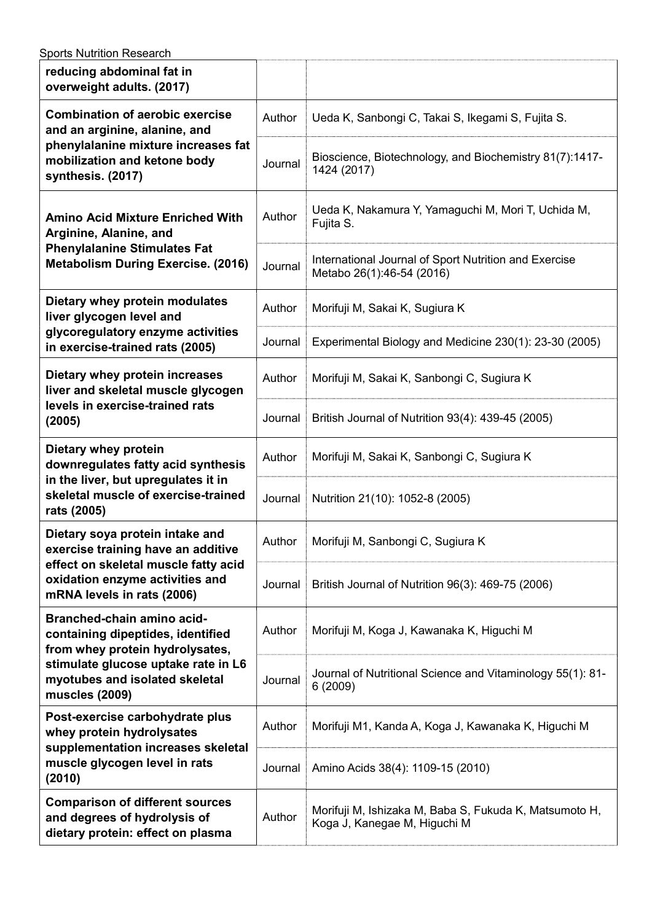| <b>Sports Nutrition Research</b>                                                                                                                                                              |         |                                                                                        |  |  |
|-----------------------------------------------------------------------------------------------------------------------------------------------------------------------------------------------|---------|----------------------------------------------------------------------------------------|--|--|
| reducing abdominal fat in<br>overweight adults. (2017)                                                                                                                                        |         |                                                                                        |  |  |
| <b>Combination of aerobic exercise</b><br>and an arginine, alanine, and<br>phenylalanine mixture increases fat<br>mobilization and ketone body<br>synthesis. (2017)                           | Author  | Ueda K, Sanbongi C, Takai S, Ikegami S, Fujita S.                                      |  |  |
|                                                                                                                                                                                               | Journal | Bioscience, Biotechnology, and Biochemistry 81(7):1417-<br>1424 (2017)                 |  |  |
| <b>Amino Acid Mixture Enriched With</b><br>Arginine, Alanine, and<br><b>Phenylalanine Stimulates Fat</b><br><b>Metabolism During Exercise. (2016)</b>                                         | Author  | Ueda K, Nakamura Y, Yamaguchi M, Mori T, Uchida M,<br>Fujita S.                        |  |  |
|                                                                                                                                                                                               | Journal | International Journal of Sport Nutrition and Exercise<br>Metabo 26(1):46-54 (2016)     |  |  |
| Dietary whey protein modulates<br>liver glycogen level and<br>glycoregulatory enzyme activities<br>in exercise-trained rats (2005)                                                            | Author  | Morifuji M, Sakai K, Sugiura K                                                         |  |  |
|                                                                                                                                                                                               | Journal | Experimental Biology and Medicine 230(1): 23-30 (2005)                                 |  |  |
| Dietary whey protein increases<br>liver and skeletal muscle glycogen<br>levels in exercise-trained rats<br>(2005)                                                                             | Author  | Morifuji M, Sakai K, Sanbongi C, Sugiura K                                             |  |  |
|                                                                                                                                                                                               | Journal | British Journal of Nutrition 93(4): 439-45 (2005)                                      |  |  |
| Dietary whey protein<br>downregulates fatty acid synthesis<br>in the liver, but upregulates it in<br>skeletal muscle of exercise-trained<br>rats (2005)                                       | Author  | Morifuji M, Sakai K, Sanbongi C, Sugiura K                                             |  |  |
|                                                                                                                                                                                               | Journal | Nutrition 21(10): 1052-8 (2005)                                                        |  |  |
| Dietary soya protein intake and<br>exercise training have an additive<br>effect on skeletal muscle fatty acid<br>oxidation enzyme activities and<br>mRNA levels in rats (2006)                | Author  | Morifuji M, Sanbongi C, Sugiura K                                                      |  |  |
|                                                                                                                                                                                               | Journal | British Journal of Nutrition 96(3): 469-75 (2006)                                      |  |  |
| Branched-chain amino acid-<br>containing dipeptides, identified<br>from whey protein hydrolysates,<br>stimulate glucose uptake rate in L6<br>myotubes and isolated skeletal<br>muscles (2009) | Author  | Morifuji M, Koga J, Kawanaka K, Higuchi M                                              |  |  |
|                                                                                                                                                                                               | Journal | Journal of Nutritional Science and Vitaminology 55(1): 81-<br>6(2009)                  |  |  |
| Post-exercise carbohydrate plus<br>whey protein hydrolysates<br>supplementation increases skeletal<br>muscle glycogen level in rats<br>(2010)                                                 | Author  | Morifuji M1, Kanda A, Koga J, Kawanaka K, Higuchi M                                    |  |  |
|                                                                                                                                                                                               | Journal | Amino Acids 38(4): 1109-15 (2010)                                                      |  |  |
| <b>Comparison of different sources</b><br>and degrees of hydrolysis of<br>dietary protein: effect on plasma                                                                                   | Author  | Morifuji M, Ishizaka M, Baba S, Fukuda K, Matsumoto H,<br>Koga J, Kanegae M, Higuchi M |  |  |